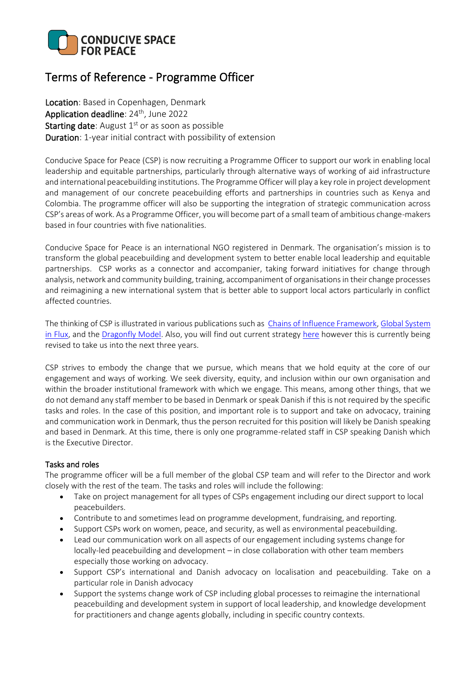

# Terms of Reference - Programme Officer

Location: Based in Copenhagen, Denmark Application deadline: 24<sup>th</sup>, June 2022 **Starting date:** August  $1<sup>st</sup>$  or as soon as possible Duration: 1-year initial contract with possibility of extension

Conducive Space for Peace (CSP) is now recruiting a Programme Officer to support our work in enabling local leadership and equitable partnerships, particularly through alternative ways of working of aid infrastructure and international peacebuilding institutions. The Programme Officer will play a key role in project development and management of our concrete peacebuilding efforts and partnerships in countries such as Kenya and Colombia. The programme officer will also be supporting the integration of strategic communication across CSP's areas of work. As a Programme Officer, you will become part of a small team of ambitious change-makers based in four countries with five nationalities.

Conducive Space for Peace is an international NGO registered in Denmark. The organisation's mission is to transform the global peacebuilding and development system to better enable local leadership and equitable partnerships. CSP works as a connector and accompanier, taking forward initiatives for change through analysis, network and community building, training, accompaniment of organisations in their change processes and reimagining a new international system that is better able to support local actors particularly in conflict affected countries.

The thinking of CSP is illustrated in various publications such as [Chains of Influence Framework,](https://www.conducivespace.org/wp-content/uploads/2022/03/Chain_of_Influence_Framework_For_Systems_Change.pdf) [Global System](https://www.conducivespace.org/wp-content/uploads/2021/12/CSP-A-Global-System-in-Flux-final.pdf)  [in Flux,](https://www.conducivespace.org/wp-content/uploads/2021/12/CSP-A-Global-System-in-Flux-final.pdf) and the [Dragonfly Model.](https://www.conducivespace.org/wp-content/uploads/2021/12/CSP-The-Dragonfly-Model-final-print.pdf) Also, you will find out current strategy [here](https://www.conducivespace.org/wp-content/uploads/2021/12/CSP-Strategic-Framework-2019-2022.pdf) however this is currently being revised to take us into the next three years.

CSP strives to embody the change that we pursue, which means that we hold equity at the core of our engagement and ways of working. We seek diversity, equity, and inclusion within our own organisation and within the broader institutional framework with which we engage. This means, among other things, that we do not demand any staff member to be based in Denmark or speak Danish if this is not required by the specific tasks and roles. In the case of this position, and important role is to support and take on advocacy, training and communication work in Denmark, thus the person recruited for this position will likely be Danish speaking and based in Denmark. At this time, there is only one programme-related staff in CSP speaking Danish which is the Executive Director.

## Tasks and roles

The programme officer will be a full member of the global CSP team and will refer to the Director and work closely with the rest of the team. The tasks and roles will include the following:

- Take on project management for all types of CSPs engagement including our direct support to local peacebuilders.
- Contribute to and sometimes lead on programme development, fundraising, and reporting.
- Support CSPs work on women, peace, and security, as well as environmental peacebuilding.
- Lead our communication work on all aspects of our engagement including systems change for locally-led peacebuilding and development – in close collaboration with other team members especially those working on advocacy.
- Support CSP's international and Danish advocacy on localisation and peacebuilding. Take on a particular role in Danish advocacy
- Support the systems change work of CSP including global processes to reimagine the international peacebuilding and development system in support of local leadership, and knowledge development for practitioners and change agents globally, including in specific country contexts.